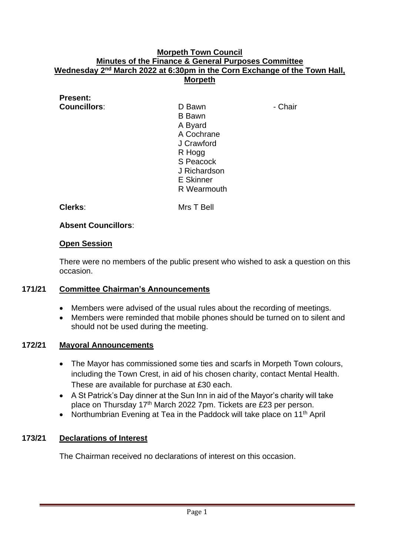#### **Morpeth Town Council Minutes of the Finance & General Purposes Committee Wednesday** 2<sup>nd</sup> March 2022 at 6:30pm in the Corn Exchange of the Town Hall, **Morpeth**

# **Present:**

**Councillors:** D Bawn - Chair B Bawn A Byard A Cochrane J Crawford R Hogg S Peacock J Richardson E Skinner R Wearmouth

**Clerks**: Mrs T Bell

# **Absent Councillors**:

#### **Open Session**

There were no members of the public present who wished to ask a question on this occasion.

# **171/21 Committee Chairman's Announcements**

- Members were advised of the usual rules about the recording of meetings.
- Members were reminded that mobile phones should be turned on to silent and should not be used during the meeting.

#### **172/21 Mayoral Announcements**

- The Mayor has commissioned some ties and scarfs in Morpeth Town colours, including the Town Crest, in aid of his chosen charity, contact Mental Health. These are available for purchase at £30 each.
- A St Patrick's Day dinner at the Sun Inn in aid of the Mayor's charity will take place on Thursday 17<sup>th</sup> March 2022 7pm. Tickets are £23 per person.
- Northumbrian Evening at Tea in the Paddock will take place on 11<sup>th</sup> April

# **173/21 Declarations of Interest**

The Chairman received no declarations of interest on this occasion.